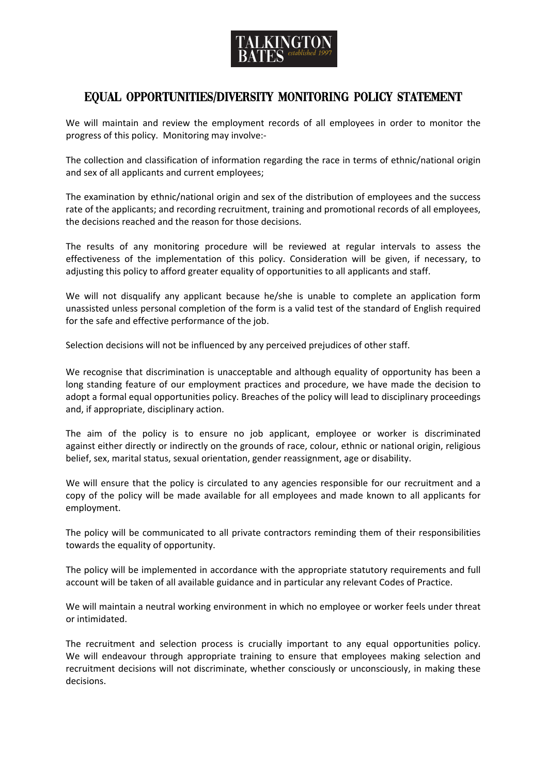

## Equal Opportunities**/**Diversity Monitoring Policy Statement

We will maintain and review the employment records of all employees in order to monitor the progress of this policy. Monitoring may involve:-

The collection and classification of information regarding the race in terms of ethnic/national origin and sex of all applicants and current employees;

The examination by ethnic/national origin and sex of the distribution of employees and the success rate of the applicants; and recording recruitment, training and promotional records of all employees, the decisions reached and the reason for those decisions.

The results of any monitoring procedure will be reviewed at regular intervals to assess the effectiveness of the implementation of this policy. Consideration will be given, if necessary, to adjusting this policy to afford greater equality of opportunities to all applicants and staff.

We will not disqualify any applicant because he/she is unable to complete an application form unassisted unless personal completion of the form is a valid test of the standard of English required for the safe and effective performance of the job.

Selection decisions will not be influenced by any perceived prejudices of other staff.

We recognise that discrimination is unacceptable and although equality of opportunity has been a long standing feature of our employment practices and procedure, we have made the decision to adopt a formal equal opportunities policy. Breaches of the policy will lead to disciplinary proceedings and, if appropriate, disciplinary action.

The aim of the policy is to ensure no job applicant, employee or worker is discriminated against either directly or indirectly on the grounds of race, colour, ethnic or national origin, religious belief, sex, marital status, sexual orientation, gender reassignment, age or disability.

We will ensure that the policy is circulated to any agencies responsible for our recruitment and a copy of the policy will be made available for all employees and made known to all applicants for employment.

The policy will be communicated to all private contractors reminding them of their responsibilities towards the equality of opportunity.

The policy will be implemented in accordance with the appropriate statutory requirements and full account will be taken of all available guidance and in particular any relevant Codes of Practice.

We will maintain a neutral working environment in which no employee or worker feels under threat or intimidated.

The recruitment and selection process is crucially important to any equal opportunities policy. We will endeavour through appropriate training to ensure that employees making selection and recruitment decisions will not discriminate, whether consciously or unconsciously, in making these decisions.